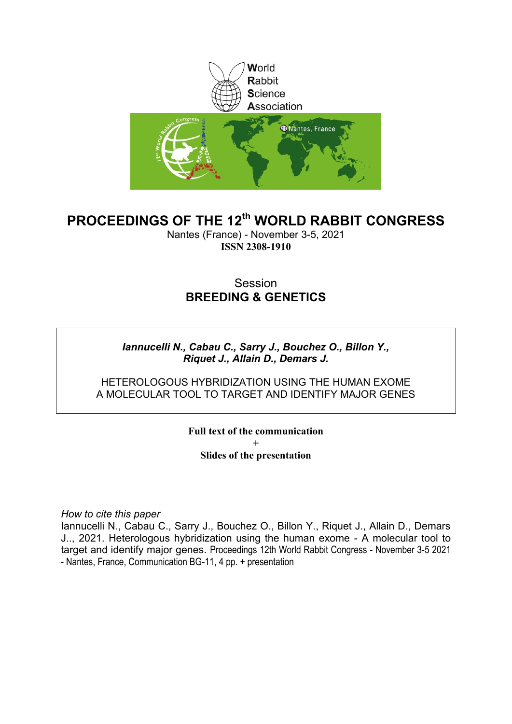

## **PROCEEDINGS OF THE 12th WORLD RABBIT CONGRESS**

Nantes (France) - November 3-5, 2021 **ISSN 2308-1910**

#### Session **BREEDING & GENETICS**

#### *Iannucelli N., Cabau C., Sarry J., Bouchez O., Billon Y., Riquet J., Allain D., Demars J.*

#### HETEROLOGOUS HYBRIDIZATION USING THE HUMAN EXOME A MOLECULAR TOOL TO TARGET AND IDENTIFY MAJOR GENES

**Full text of the communication + Slides of the presentation**

*How to cite this paper*

Iannucelli N., Cabau C., Sarry J., Bouchez O., Billon Y., Riquet J., Allain D., Demars J.., 2021. Heterologous hybridization using the human exome - A molecular tool to target and identify major genes. Proceedings 12th World Rabbit Congress - November 3-5 2021 - Nantes, France, Communication BG-11, 4 pp. + presentation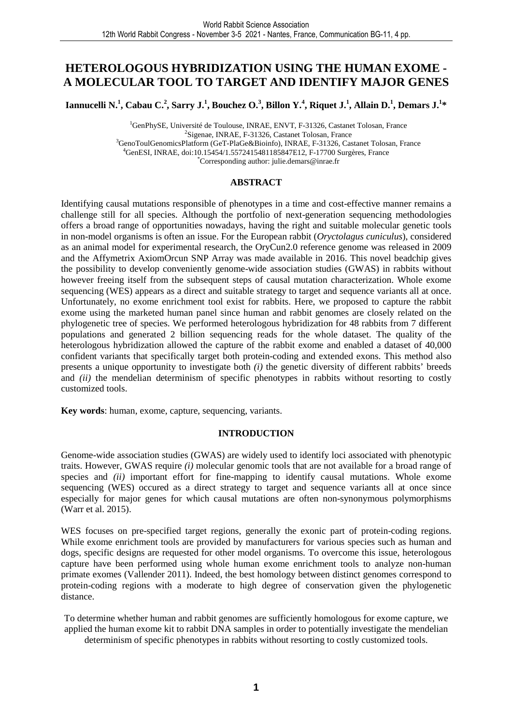#### **HETEROLOGOUS HYBRIDIZATION USING THE HUMAN EXOME - A MOLECULAR TOOL TO TARGET AND IDENTIFY MAJOR GENES**

Iannucelli N.<sup>1</sup>, Cabau C.<sup>2</sup>, Sarry J.<sup>1</sup>, Bouchez O.<sup>3</sup>, Billon Y.<sup>4</sup>, Riquet J.<sup>1</sup>, Allain D.<sup>1</sup>, Demars J.<sup>1</sup>\*

<sup>1</sup>GenPhySE, Université de Toulouse, INRAE, ENVT, F-31326, Castanet Tolosan, France <sup>2</sup>Sigenae, INRAE, F-31326, Castanet Tolosan, France <sup>3</sup>GenoToulGenomicsPlatform (GeT-PlaGe&Bioinfo), INRAE, F-31326, Castanet Tolosan, France <sup>4</sup>GenESI, INRAE, doi:10.15454/1.5572415481185847E12, F-17700 Surgères, France \*Corresponding author: julie.demars@inrae.fr

#### **ABSTRACT**

Identifying causal mutations responsible of phenotypes in a time and cost-effective manner remains a challenge still for all species. Although the portfolio of next-generation sequencing methodologies offers a broad range of opportunities nowadays, having the right and suitable molecular genetic tools in non-model organisms is often an issue. For the European rabbit (*Oryctolagus cuniculus*), considered as an animal model for experimental research, the OryCun2.0 reference genome was released in 2009 and the Affymetrix AxiomOrcun SNP Array was made available in 2016. This novel beadchip gives the possibility to develop conveniently genome-wide association studies (GWAS) in rabbits without however freeing itself from the subsequent steps of causal mutation characterization. Whole exome sequencing (WES) appears as a direct and suitable strategy to target and sequence variants all at once. Unfortunately, no exome enrichment tool exist for rabbits. Here, we proposed to capture the rabbit exome using the marketed human panel since human and rabbit genomes are closely related on the phylogenetic tree of species. We performed heterologous hybridization for 48 rabbits from 7 different populations and generated 2 billion sequencing reads for the whole dataset. The quality of the heterologous hybridization allowed the capture of the rabbit exome and enabled a dataset of 40,000 confident variants that specifically target both protein-coding and extended exons. This method also presents a unique opportunity to investigate both *(i)* the genetic diversity of different rabbits' breeds and *(ii)* the mendelian determinism of specific phenotypes in rabbits without resorting to costly customized tools.

**Key words**: human, exome, capture, sequencing, variants.

#### **INTRODUCTION**

Genome-wide association studies (GWAS) are widely used to identify loci associated with phenotypic traits. However, GWAS require *(i)* molecular genomic tools that are not available for a broad range of species and *(ii)* important effort for fine-mapping to identify causal mutations. Whole exome sequencing (WES) occured as a direct strategy to target and sequence variants all at once since especially for major genes for which causal mutations are often non-synonymous polymorphisms (Warr et al. 2015).

WES focuses on pre-specified target regions, generally the exonic part of protein-coding regions. While exome enrichment tools are provided by manufacturers for various species such as human and dogs, specific designs are requested for other model organisms. To overcome this issue, heterologous capture have been performed using whole human exome enrichment tools to analyze non-human primate exomes (Vallender 2011). Indeed, the best homology between distinct genomes correspond to protein-coding regions with a moderate to high degree of conservation given the phylogenetic distance.

To determine whether human and rabbit genomes are sufficiently homologous for exome capture, we applied the human exome kit to rabbit DNA samples in order to potentially investigate the mendelian determinism of specific phenotypes in rabbits without resorting to costly customized tools.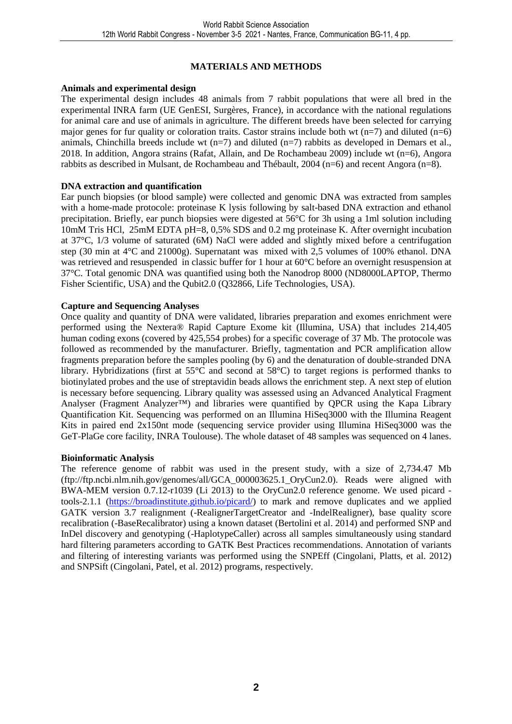#### **MATERIALS AND METHODS**

#### **Animals and experimental design**

The experimental design includes 48 animals from 7 rabbit populations that were all bred in the experimental INRA farm (UE GenESI, Surgères, France), in accordance with the national regulations for animal care and use of animals in agriculture. The different breeds have been selected for carrying major genes for fur quality or coloration traits. Castor strains include both wt  $(n=7)$  and diluted  $(n=6)$ animals, Chinchilla breeds include wt  $(n=7)$  and diluted  $(n=7)$  rabbits as developed in Demars et al., 2018. In addition, Angora strains (Rafat, Allain, and De Rochambeau 2009) include wt (n=6), Angora rabbits as described in Mulsant, de Rochambeau and Thébault, 2004 (n=6) and recent Angora (n=8).

#### **DNA extraction and quantification**

Ear punch biopsies (or blood sample) were collected and genomic DNA was extracted from samples with a home-made protocole: proteinase K lysis following by salt-based DNA extraction and ethanol precipitation. Briefly, ear punch biopsies were digested at 56°C for 3h using a 1ml solution including 10mM Tris HCl, 25mM EDTA pH=8, 0,5% SDS and 0.2 mg proteinase K. After overnight incubation at 37°C, 1/3 volume of saturated (6M) NaCl were added and slightly mixed before a centrifugation step (30 min at 4°C and 21000g). Supernatant was mixed with 2,5 volumes of 100% ethanol. DNA was retrieved and resuspended in classic buffer for 1 hour at 60°C before an overnight resuspension at 37°C. Total genomic DNA was quantified using both the Nanodrop 8000 (ND8000LAPTOP, Thermo Fisher Scientific, USA) and the Qubit2.0 (Q32866, Life Technologies, USA).

#### **Capture and Sequencing Analyses**

Once quality and quantity of DNA were validated, libraries preparation and exomes enrichment were performed using the Nextera® Rapid Capture Exome kit (Illumina, USA) that includes 214,405 human coding exons (covered by 425,554 probes) for a specific coverage of 37 Mb. The protocole was followed as recommended by the manufacturer. Briefly, tagmentation and PCR amplification allow fragments preparation before the samples pooling (by 6) and the denaturation of double-stranded DNA library. Hybridizations (first at 55°C and second at 58°C) to target regions is performed thanks to biotinylated probes and the use of streptavidin beads allows the enrichment step. A next step of elution is necessary before sequencing. Library quality was assessed using an Advanced Analytical Fragment Analyser (Fragment Analyzer<sup>TM</sup>) and libraries were quantified by QPCR using the Kapa Library Quantification Kit. Sequencing was performed on an Illumina HiSeq3000 with the Illumina Reagent Kits in paired end 2x150nt mode (sequencing service provider using Illumina HiSeq3000 was the GeT-PlaGe core facility, INRA Toulouse). The whole dataset of 48 samples was sequenced on 4 lanes.

#### **Bioinformatic Analysis**

The reference genome of rabbit was used in the present study, with a size of 2,734.47 Mb (ftp://ftp.ncbi.nlm.nih.gov/genomes/all/GCA\_000003625.1\_OryCun2.0). Reads were aligned with BWA-MEM version 0.7.12-r1039 (Li 2013) to the OryCun2.0 reference genome. We used picard tools-2.1.1 (https://broadinstitute.github.io/picard/) to mark and remove duplicates and we applied GATK version 3.7 realignment (-RealignerTargetCreator and -IndelRealigner), base quality score recalibration (-BaseRecalibrator) using a known dataset (Bertolini et al. 2014) and performed SNP and InDel discovery and genotyping (-HaplotypeCaller) across all samples simultaneously using standard hard filtering parameters according to GATK Best Practices recommendations. Annotation of variants and filtering of interesting variants was performed using the SNPEff (Cingolani, Platts, et al. 2012) and SNPSift (Cingolani, Patel, et al. 2012) programs, respectively.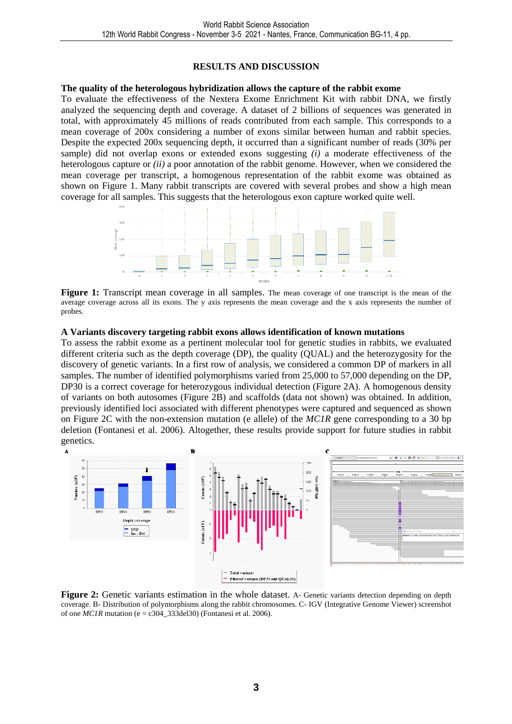#### **RESULTS AND DISCUSSION**

#### **The quality of the heterologous hybridization allows the capture of the rabbit exome**

To evaluate the effectiveness of the Nextera Exome Enrichment Kit with rabbit DNA, we firstly analyzed the sequencing depth and coverage. A dataset of 2 billions of sequences was generated in total, with approximately 45 millions of reads contributed from each sample. This corresponds to a mean coverage of 200x considering a number of exons similar between human and rabbit species. Despite the expected 200x sequencing depth, it occurred than a significant number of reads (30% per sample) did not overlap exons or extended exons suggesting *(i)* a moderate effectiveness of the heterologous capture or *(ii)* a poor annotation of the rabbit genome. However, when we considered the mean coverage per transcript, a homogenous representation of the rabbit exome was obtained as shown on Figure 1. Many rabbit transcripts are covered with several probes and show a high mean coverage for all samples. This suggests that the heterologous exon capture worked quite well.



**Figure 1:** Transcript mean coverage in all samples. The mean coverage of one transcript is the mean of the average coverage across all its exons. The y axis represents the mean coverage and the x axis represents the number of probes.

#### **A Variants discovery targeting rabbit exons allows identification of known mutations**

To assess the rabbit exome as a pertinent molecular tool for genetic studies in rabbits, we evaluated different criteria such as the depth coverage (DP), the quality (QUAL) and the heterozygosity for the discovery of genetic variants. In a first row of analysis, we considered a common DP of markers in all samples. The number of identified polymorphisms varied from 25,000 to 57,000 depending on the DP, DP30 is a correct coverage for heterozygous individual detection (Figure 2A). A homogenous density of variants on both autosomes (Figure 2B) and scaffolds (data not shown) was obtained. In addition, previously identified loci associated with different phenotypes were captured and sequenced as shown on Figure 2C with the non-extension mutation (e allele) of the *MC1R* gene corresponding to a 30 bp deletion (Fontanesi et al. 2006). Altogether, these results provide support for future studies in rabbit genetics.



**Figure 2:** Genetic variants estimation in the whole dataset. A- Genetic variants detection depending on depth coverage. B- Distribution of polymorphisms along the rabbit chromosomes. C- IGV (Integrative Genome Viewer) screenshot of one  $MCIR$  mutation (e = c304\_333del30) (Fontanesi et al. 2006).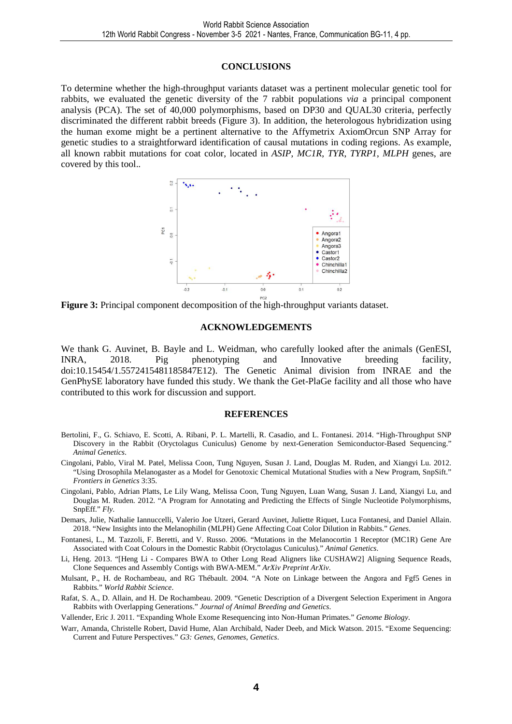#### **CONCLUSIONS**

To determine whether the high-throughput variants dataset was a pertinent molecular genetic tool for rabbits, we evaluated the genetic diversity of the 7 rabbit populations *via* a principal component analysis (PCA). The set of 40,000 polymorphisms, based on DP30 and QUAL30 criteria, perfectly discriminated the different rabbit breeds (Figure 3). In addition, the heterologous hybridization using the human exome might be a pertinent alternative to the Affymetrix AxiomOrcun SNP Array for genetic studies to a straightforward identification of causal mutations in coding regions. As example, all known rabbit mutations for coat color, located in *ASIP*, *MC1R*, *TYR*, *TYRP1*, *MLPH* genes, are covered by this tool..



**Figure 3:** Principal component decomposition of the high-throughput variants dataset.

#### **ACKNOWLEDGEMENTS**

We thank G. Auvinet, B. Bayle and L. Weidman, who carefully looked after the animals (GenESI, INRA, 2018. Pig phenotyping and Innovative breeding facility, doi:10.15454/1.5572415481185847E12). The Genetic Animal division from INRAE and the GenPhySE laboratory have funded this study. We thank the Get-PlaGe facility and all those who have contributed to this work for discussion and support.

#### **REFERENCES**

- Bertolini, F., G. Schiavo, E. Scotti, A. Ribani, P. L. Martelli, R. Casadio, and L. Fontanesi. 2014. "High-Throughput SNP Discovery in the Rabbit (Oryctolagus Cuniculus) Genome by next-Generation Semiconductor-Based Sequencing." *Animal Genetics*.
- Cingolani, Pablo, Viral M. Patel, Melissa Coon, Tung Nguyen, Susan J. Land, Douglas M. Ruden, and Xiangyi Lu. 2012. "Using Drosophila Melanogaster as a Model for Genotoxic Chemical Mutational Studies with a New Program, SnpSift." *Frontiers in Genetics* 3:35.
- Cingolani, Pablo, Adrian Platts, Le Lily Wang, Melissa Coon, Tung Nguyen, Luan Wang, Susan J. Land, Xiangyi Lu, and Douglas M. Ruden. 2012. "A Program for Annotating and Predicting the Effects of Single Nucleotide Polymorphisms, SnpEff." *Fly*.
- Demars, Julie, Nathalie Iannuccelli, Valerio Joe Utzeri, Gerard Auvinet, Juliette Riquet, Luca Fontanesi, and Daniel Allain. 2018. "New Insights into the Melanophilin (MLPH) Gene Affecting Coat Color Dilution in Rabbits." *Genes*.
- Fontanesi, L., M. Tazzoli, F. Beretti, and V. Russo. 2006. "Mutations in the Melanocortin 1 Receptor (MC1R) Gene Are Associated with Coat Colours in the Domestic Rabbit (Oryctolagus Cuniculus)." *Animal Genetics*.
- Li, Heng. 2013. "[Heng Li Compares BWA to Other Long Read Aligners like CUSHAW2] Aligning Sequence Reads, Clone Sequences and Assembly Contigs with BWA-MEM." *ArXiv Preprint ArXiv*.
- Mulsant, P., H. de Rochambeau, and RG Thébault. 2004. "A Note on Linkage between the Angora and Fgf5 Genes in Rabbits." *World Rabbit Science*.
- Rafat, S. A., D. Allain, and H. De Rochambeau. 2009. "Genetic Description of a Divergent Selection Experiment in Angora Rabbits with Overlapping Generations." *Journal of Animal Breeding and Genetics*.
- Vallender, Eric J. 2011. "Expanding Whole Exome Resequencing into Non-Human Primates." *Genome Biology*.
- Warr, Amanda, Christelle Robert, David Hume, Alan Archibald, Nader Deeb, and Mick Watson. 2015. "Exome Sequencing: Current and Future Perspectives." *G3: Genes, Genomes, Genetics*.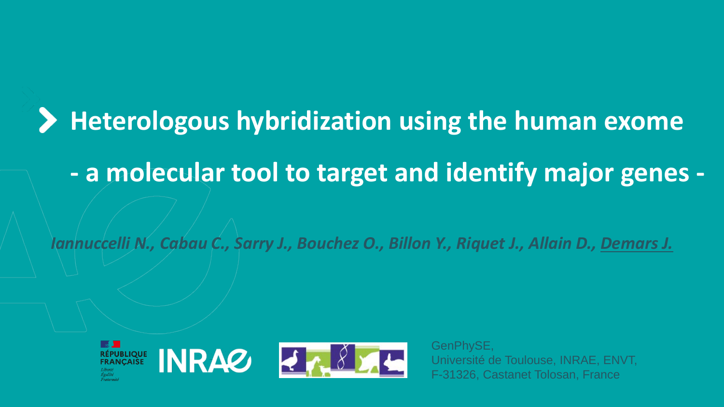# **Heterologous hybridization using the human exome - a molecular tool to target and identify major genes -**

*Iannuccelli N., Cabau C., Sarry J., Bouchez O., Billon Y., Riquet J., Allain D., Demars J.*



GenPhySE, Université de Toulouse, INRAE, ENVT, F-31326, Castanet Tolosan, France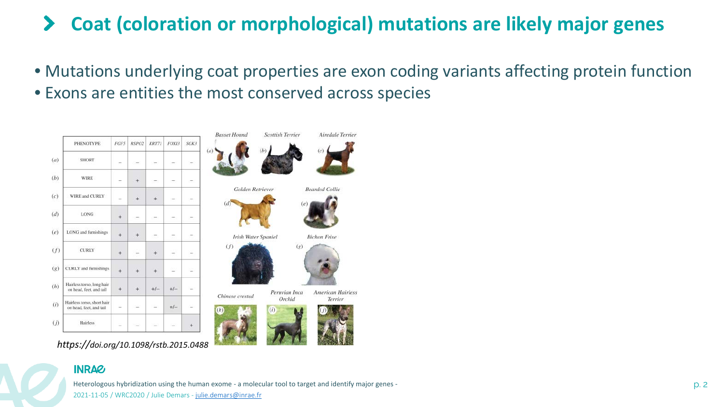#### **Coat (coloration or morphological) mutations are likely major genes**  $\blacktriangleright$

• Mutations underlying coat properties are exon coding variants affecting protein function

Terrier

• Exons are entities the most conserved across species



*https://doi.org/10.1098/rstb.2015.0488*

**INRAG** 

Heterologous hybridization using the human exome - a molecular tool to target and identify major genes - p. 2 2021-11-05 / WRC2020 / Julie Demars - [julie.demars@inrae.fr](mailto:julie.demars@inrae.fr)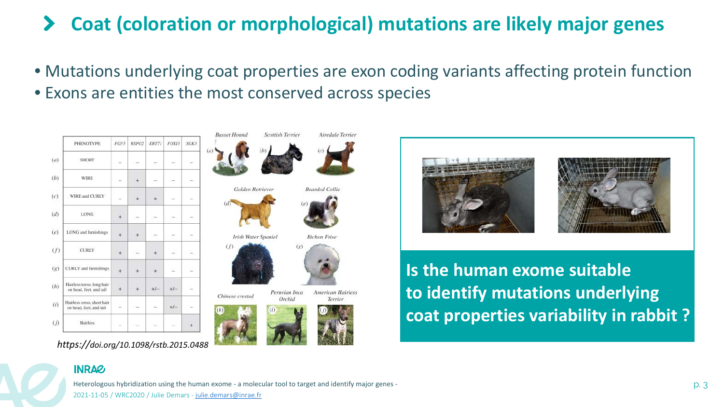#### **Coat (coloration or morphological) mutations are likely major genes**  $\blacktriangleright$

- Mutations underlying coat properties are exon coding variants affecting protein function
- Exons are entities the most conserved across species



*https://doi.org/10.1098/rstb.2015.0488*





**Is the human exome suitable to identify mutations underlying coat properties variability in rabbit ?**

### **INRAZ**

Heterologous hybridization using the human exome - a molecular tool to target and identify major genes - p. 3 2021-11-05 / WRC2020 / Julie Demars - [julie.demars@inrae.fr](mailto:julie.demars@inrae.fr)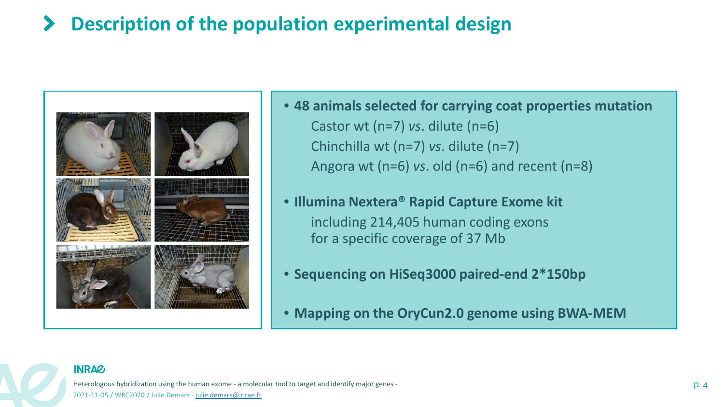#### **Description of the population experimental design**  $\blacktriangleright$



- **48 animals selected for carrying coat properties mutation** Castor wt (n=7) *vs*. dilute (n=6) Chinchilla wt (n=7) *vs*. dilute (n=7) Angora wt (n=6) *vs*. old (n=6) and recent (n=8)
- **Illumina Nextera® Rapid Capture Exome kit** including 214,405 human coding exons for a specific coverage of 37 Mb
- **Sequencing on HiSeq3000 paired-end 2\*150bp**
- **Mapping on the OryCun2.0 genome using BWA-MEM**

#### **INRAZ**

Heterologous hybridization using the human exome - a molecular tool to target and identify major genes - p. 4 2021-11-05 / WRC2020 / Julie Demars - [julie.demars@inrae.fr](mailto:julie.demars@inrae.fr)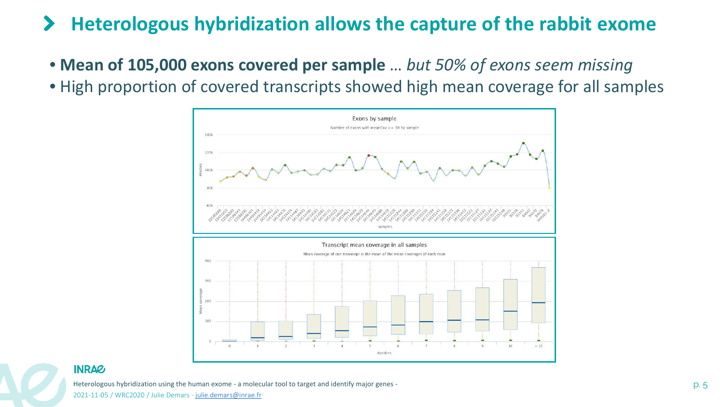#### $\blacktriangleright$ **Heterologous hybridization allows the capture of the rabbit exome**

- **Mean of 105,000 exons covered per sample** … *but 50% of exons seem missing*
- High proportion of covered transcripts showed high mean coverage for all samples



**INRAG** 

Heterologous hybridization using the human exome - a molecular tool to target and identify major genes - p. 5 2021-11-05 / WRC2020 / Julie Demars - [julie.demars@inrae.fr](mailto:julie.demars@inrae.fr)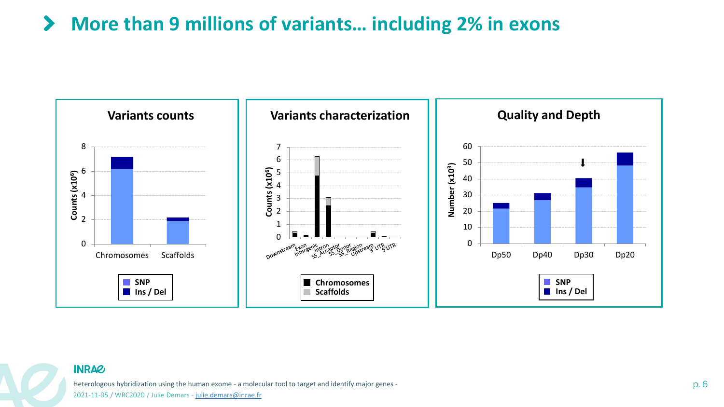#### **More than 9 millions of variants… including 2% in exons**  $\blacktriangleright$



#### **INRA&**

Heterologous hybridization using the human exome - a molecular tool to target and identify major genes - p. 6 and the strategy and the strategy perception of the strategy p. 6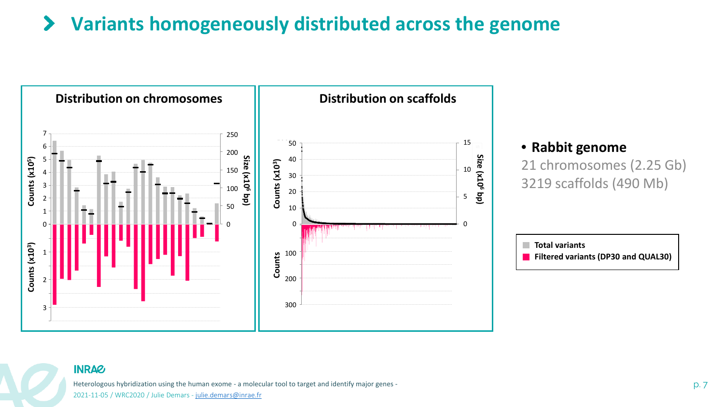#### **Variants homogeneously distributed across the genome**  $\blacktriangleright$



#### **INRAG**

Heterologous hybridization using the human exome - a molecular tool to target and identify major genes - p. 7 and the term of the state of the state of the state of the p. 7 and 7 and 7 and 7 and 7 and 7 and 7 and 7 and 7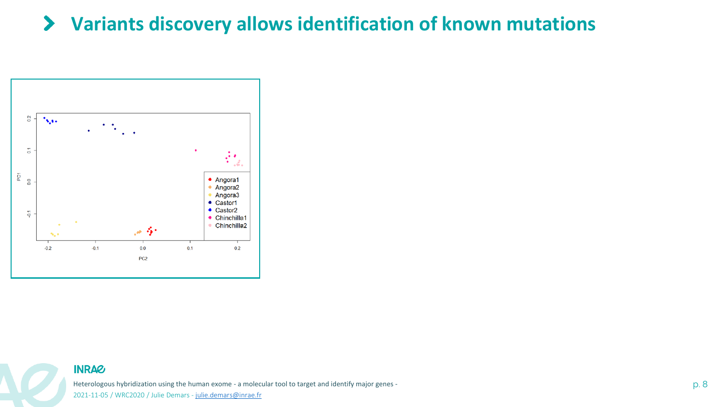#### **Variants discovery allows identification of known mutations** $\blacktriangleright$



**INRAG** 

Heterologous hybridization using the human exome - a molecular tool to target and identify major genes - p. 8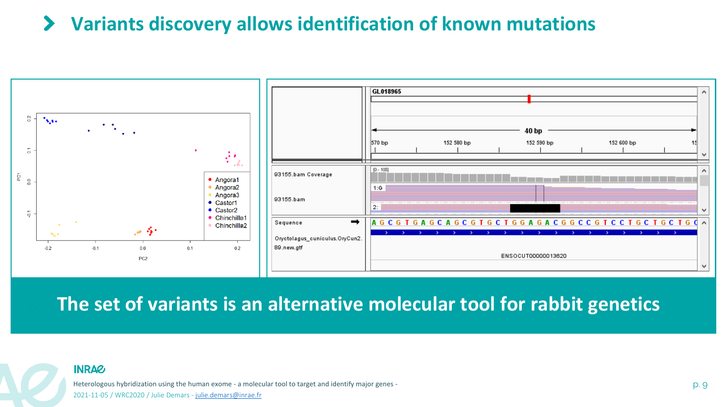## **Variants discovery allows identification of known mutations**



**The set of variants is an alternative molecular tool for rabbit genetics**

#### **INRAG**

Heterologous hybridization using the human exome - a molecular tool to target and identify major genes - p. 9 2021-11-05 / WRC2020 / Julie Demars - [julie.demars@inrae.fr](mailto:julie.demars@inrae.fr)